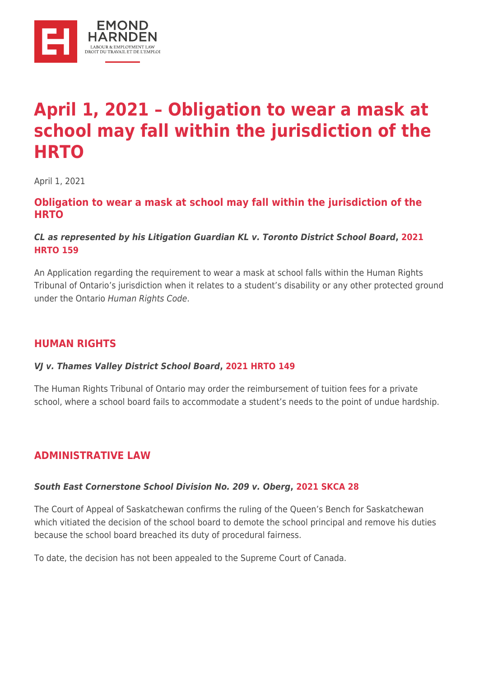

# **[April 1, 2021 – Obligation to wear a mask at](https://ehlaw.ca/april-1-2021-obligation-to-wear-a-mask-at-school-may-fall-within-the-jurisdiction-of-the-hrto/) [school may fall within the jurisdiction of the](https://ehlaw.ca/april-1-2021-obligation-to-wear-a-mask-at-school-may-fall-within-the-jurisdiction-of-the-hrto/) [HRTO](https://ehlaw.ca/april-1-2021-obligation-to-wear-a-mask-at-school-may-fall-within-the-jurisdiction-of-the-hrto/)**

April 1, 2021

### **Obligation to wear a mask at school may fall within the jurisdiction of the HRTO**

#### *CL as represented by his Litigation Guardian KL v. Toronto District School Board***, [2021](https://ehlaw.us14.list-manage.com/track/click?u=c4350b16ea636433bd40c7392&id=1ed5e0653b&e=1b907685c6) [HRTO 159](https://ehlaw.us14.list-manage.com/track/click?u=c4350b16ea636433bd40c7392&id=1ed5e0653b&e=1b907685c6)**

An Application regarding the requirement to wear a mask at school falls within the Human Rights Tribunal of Ontario's jurisdiction when it relates to a student's disability or any other protected ground under the Ontario Human Rights Code.

# **HUMAN RIGHTS**

#### *VJ v. Thames Valley District School Board***, [2021 HRTO 149](https://ehlaw.us14.list-manage.com/track/click?u=c4350b16ea636433bd40c7392&id=f717fc8802&e=1b907685c6)**

The Human Rights Tribunal of Ontario may order the reimbursement of tuition fees for a private school, where a school board fails to accommodate a student's needs to the point of undue hardship.

### **ADMINISTRATIVE LAW**

#### *South East Cornerstone School Division No. 209 v. Oberg***, [2021 SKCA 28](https://ehlaw.us14.list-manage.com/track/click?u=c4350b16ea636433bd40c7392&id=895d19b031&e=1b907685c6)**

The Court of Appeal of Saskatchewan confirms the ruling of the Queen's Bench for Saskatchewan which vitiated the decision of the school board to demote the school principal and remove his duties because the school board breached its duty of procedural fairness.

To date, the decision has not been appealed to the Supreme Court of Canada.